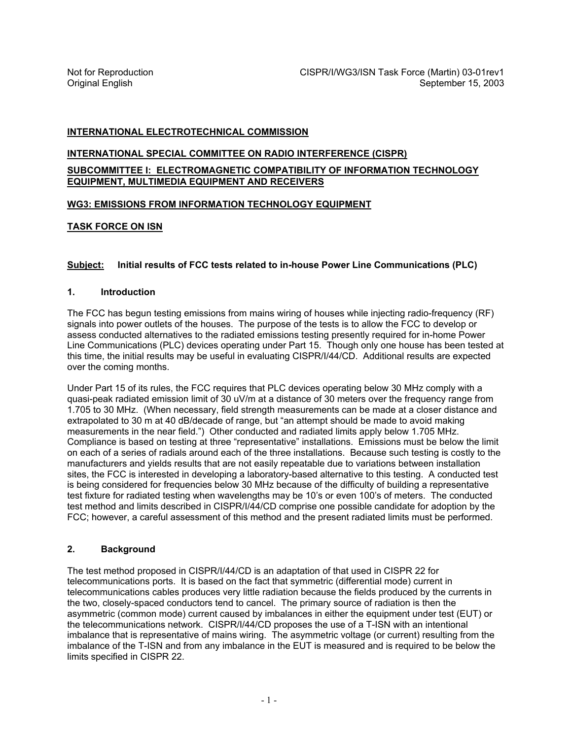# **INTERNATIONAL ELECTROTECHNICAL COMMISSION**

# **INTERNATIONAL SPECIAL COMMITTEE ON RADIO INTERFERENCE (CISPR)**

**SUBCOMMITTEE I: ELECTROMAGNETIC COMPATIBILITY OF INFORMATION TECHNOLOGY EQUIPMENT, MULTIMEDIA EQUIPMENT AND RECEIVERS**

## **WG3: EMISSIONS FROM INFORMATION TECHNOLOGY EQUIPMENT**

## **TASK FORCE ON ISN**

## **Subject: Initial results of FCC tests related to in-house Power Line Communications (PLC)**

#### **1. Introduction**

The FCC has begun testing emissions from mains wiring of houses while injecting radio-frequency (RF) signals into power outlets of the houses. The purpose of the tests is to allow the FCC to develop or assess conducted alternatives to the radiated emissions testing presently required for in-home Power Line Communications (PLC) devices operating under Part 15. Though only one house has been tested at this time, the initial results may be useful in evaluating CISPR/I/44/CD. Additional results are expected over the coming months.

Under Part 15 of its rules, the FCC requires that PLC devices operating below 30 MHz comply with a quasi-peak radiated emission limit of 30 uV/m at a distance of 30 meters over the frequency range from 1.705 to 30 MHz. (When necessary, field strength measurements can be made at a closer distance and extrapolated to 30 m at 40 dB/decade of range, but "an attempt should be made to avoid making measurements in the near field.") Other conducted and radiated limits apply below 1.705 MHz. Compliance is based on testing at three "representative" installations. Emissions must be below the limit on each of a series of radials around each of the three installations. Because such testing is costly to the manufacturers and yields results that are not easily repeatable due to variations between installation sites, the FCC is interested in developing a laboratory-based alternative to this testing. A conducted test is being considered for frequencies below 30 MHz because of the difficulty of building a representative test fixture for radiated testing when wavelengths may be 10's or even 100's of meters. The conducted test method and limits described in CISPR/I/44/CD comprise one possible candidate for adoption by the FCC; however, a careful assessment of this method and the present radiated limits must be performed.

#### **2. Background**

The test method proposed in CISPR/I/44/CD is an adaptation of that used in CISPR 22 for telecommunications ports. It is based on the fact that symmetric (differential mode) current in telecommunications cables produces very little radiation because the fields produced by the currents in the two, closely-spaced conductors tend to cancel. The primary source of radiation is then the asymmetric (common mode) current caused by imbalances in either the equipment under test (EUT) or the telecommunications network. CISPR/I/44/CD proposes the use of a T-ISN with an intentional imbalance that is representative of mains wiring. The asymmetric voltage (or current) resulting from the imbalance of the T-ISN and from any imbalance in the EUT is measured and is required to be below the limits specified in CISPR 22.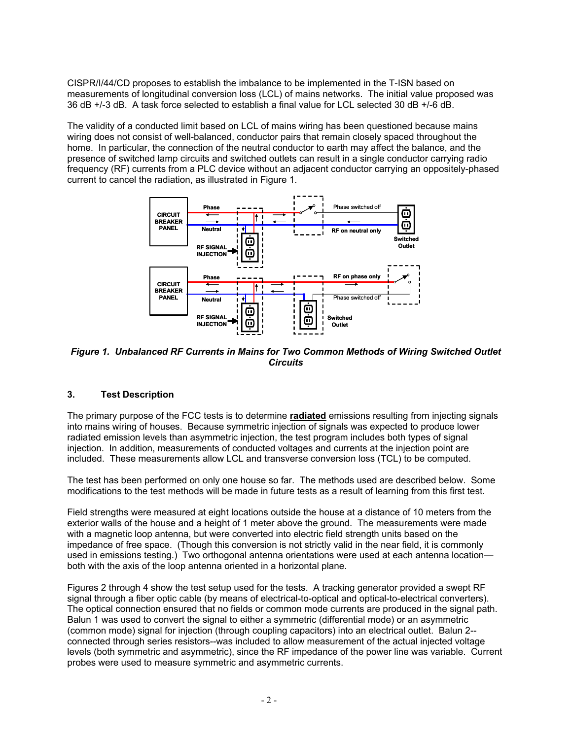CISPR/I/44/CD proposes to establish the imbalance to be implemented in the T-ISN based on measurements of longitudinal conversion loss (LCL) of mains networks. The initial value proposed was 36 dB +/-3 dB. A task force selected to establish a final value for LCL selected 30 dB +/-6 dB.

The validity of a conducted limit based on LCL of mains wiring has been questioned because mains wiring does not consist of well-balanced, conductor pairs that remain closely spaced throughout the home. In particular, the connection of the neutral conductor to earth may affect the balance, and the presence of switched lamp circuits and switched outlets can result in a single conductor carrying radio frequency (RF) currents from a PLC device without an adjacent conductor carrying an oppositely-phased current to cancel the radiation, as illustrated in Figure 1.



*Figure 1. Unbalanced RF Currents in Mains for Two Common Methods of Wiring Switched Outlet Circuits* 

# **3. Test Description**

The primary purpose of the FCC tests is to determine **radiated** emissions resulting from injecting signals into mains wiring of houses. Because symmetric injection of signals was expected to produce lower radiated emission levels than asymmetric injection, the test program includes both types of signal injection. In addition, measurements of conducted voltages and currents at the injection point are included. These measurements allow LCL and transverse conversion loss (TCL) to be computed.

The test has been performed on only one house so far. The methods used are described below. Some modifications to the test methods will be made in future tests as a result of learning from this first test.

Field strengths were measured at eight locations outside the house at a distance of 10 meters from the exterior walls of the house and a height of 1 meter above the ground. The measurements were made with a magnetic loop antenna, but were converted into electric field strength units based on the impedance of free space. (Though this conversion is not strictly valid in the near field, it is commonly used in emissions testing.) Two orthogonal antenna orientations were used at each antenna location both with the axis of the loop antenna oriented in a horizontal plane.

Figures 2 through 4 show the test setup used for the tests. A tracking generator provided a swept RF signal through a fiber optic cable (by means of electrical-to-optical and optical-to-electrical converters). The optical connection ensured that no fields or common mode currents are produced in the signal path. Balun 1 was used to convert the signal to either a symmetric (differential mode) or an asymmetric (common mode) signal for injection (through coupling capacitors) into an electrical outlet. Balun 2- connected through series resistors--was included to allow measurement of the actual injected voltage levels (both symmetric and asymmetric), since the RF impedance of the power line was variable. Current probes were used to measure symmetric and asymmetric currents.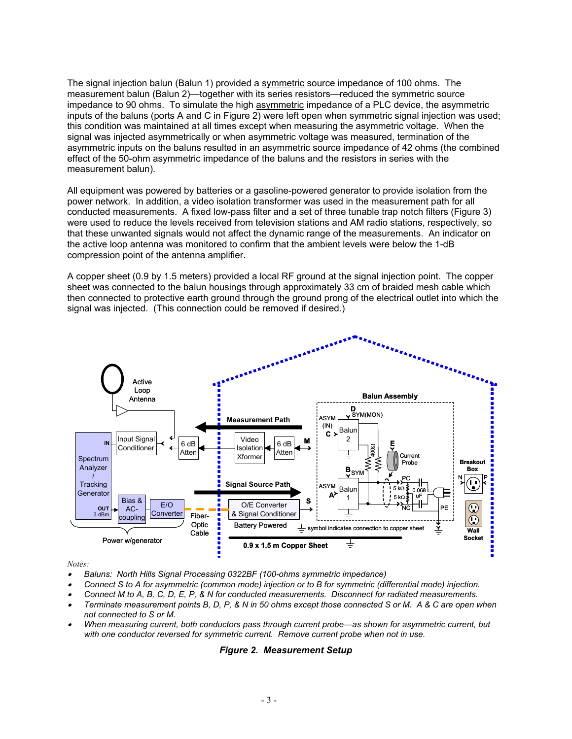The signal injection balun (Balun 1) provided a symmetric source impedance of 100 ohms. The measurement balun (Balun 2)—together with its series resistors—reduced the symmetric source impedance to 90 ohms. To simulate the high asymmetric impedance of a PLC device, the asymmetric inputs of the baluns (ports A and C in Figure 2) were left open when symmetric signal injection was used; this condition was maintained at all times except when measuring the asymmetric voltage. When the signal was injected asymmetrically or when asymmetric voltage was measured, termination of the asymmetric inputs on the baluns resulted in an asymmetric source impedance of 42 ohms (the combined effect of the 50-ohm asymmetric impedance of the baluns and the resistors in series with the measurement balun).

All equipment was powered by batteries or a gasoline-powered generator to provide isolation from the power network. In addition, a video isolation transformer was used in the measurement path for all conducted measurements. A fixed low-pass filter and a set of three tunable trap notch filters (Figure 3) were used to reduce the levels received from television stations and AM radio stations, respectively, so that these unwanted signals would not affect the dynamic range of the measurements. An indicator on the active loop antenna was monitored to confirm that the ambient levels were below the 1-dB compression point of the antenna amplifier.

A copper sheet (0.9 by 1.5 meters) provided a local RF ground at the signal injection point. The copper sheet was connected to the balun housings through approximately 33 cm of braided mesh cable which then connected to protective earth ground through the ground prong of the electrical outlet into which the signal was injected. (This connection could be removed if desired.)



*Notes:* 

- • *Baluns: North Hills Signal Processing 0322BF (100-ohms symmetric impedance)*
- • *Connect S to A for asymmetric (common mode) injection or to B for symmetric (differential mode) injection.*
- • *Connect M to A, B, C, D, E, P, & N for conducted measurements. Disconnect for radiated measurements.*
- • *Terminate measurement points B, D, P, & N in 50 ohms except those connected S or M. A & C are open when not connected to S or M.*
- • *When measuring current, both conductors pass through current probe—as shown for asymmetric current, but with one conductor reversed for symmetric current. Remove current probe when not in use.*

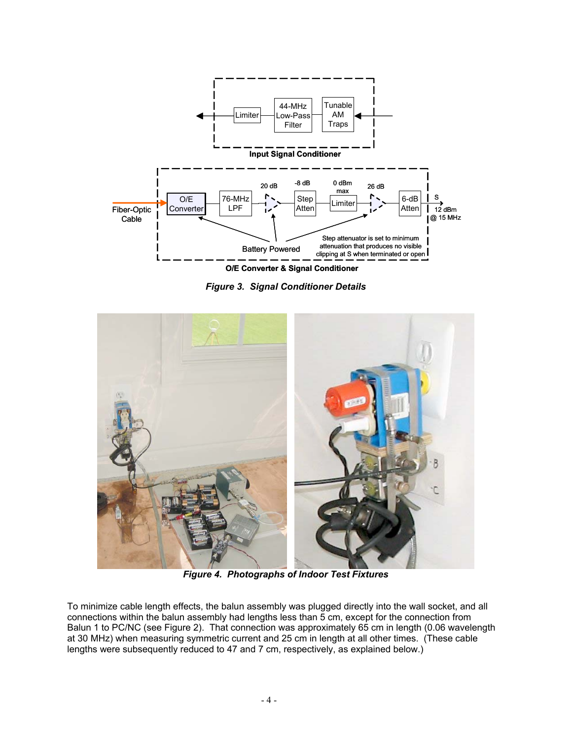

*Figure 3. Signal Conditioner Details* 



 *Figure 4. Photographs of Indoor Test Fixtures* 

To minimize cable length effects, the balun assembly was plugged directly into the wall socket, and all connections within the balun assembly had lengths less than 5 cm, except for the connection from Balun 1 to PC/NC (see Figure 2). That connection was approximately 65 cm in length (0.06 wavelength at 30 MHz) when measuring symmetric current and 25 cm in length at all other times. (These cable lengths were subsequently reduced to 47 and 7 cm, respectively, as explained below.)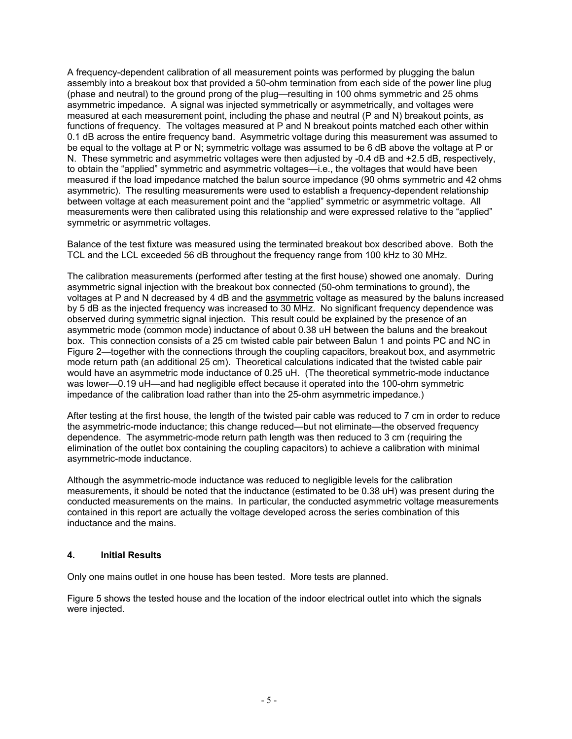A frequency-dependent calibration of all measurement points was performed by plugging the balun assembly into a breakout box that provided a 50-ohm termination from each side of the power line plug (phase and neutral) to the ground prong of the plug—resulting in 100 ohms symmetric and 25 ohms asymmetric impedance. A signal was injected symmetrically or asymmetrically, and voltages were measured at each measurement point, including the phase and neutral (P and N) breakout points, as functions of frequency. The voltages measured at P and N breakout points matched each other within 0.1 dB across the entire frequency band. Asymmetric voltage during this measurement was assumed to be equal to the voltage at P or N; symmetric voltage was assumed to be 6 dB above the voltage at P or N. These symmetric and asymmetric voltages were then adjusted by -0.4 dB and +2.5 dB, respectively, to obtain the "applied" symmetric and asymmetric voltages—i.e., the voltages that would have been measured if the load impedance matched the balun source impedance (90 ohms symmetric and 42 ohms asymmetric). The resulting measurements were used to establish a frequency-dependent relationship between voltage at each measurement point and the "applied" symmetric or asymmetric voltage. All measurements were then calibrated using this relationship and were expressed relative to the "applied" symmetric or asymmetric voltages.

Balance of the test fixture was measured using the terminated breakout box described above. Both the TCL and the LCL exceeded 56 dB throughout the frequency range from 100 kHz to 30 MHz.

The calibration measurements (performed after testing at the first house) showed one anomaly. During asymmetric signal injection with the breakout box connected (50-ohm terminations to ground), the voltages at P and N decreased by 4 dB and the asymmetric voltage as measured by the baluns increased by 5 dB as the injected frequency was increased to 30 MHz. No significant frequency dependence was observed during symmetric signal injection. This result could be explained by the presence of an asymmetric mode (common mode) inductance of about 0.38 uH between the baluns and the breakout box. This connection consists of a 25 cm twisted cable pair between Balun 1 and points PC and NC in Figure 2—together with the connections through the coupling capacitors, breakout box, and asymmetric mode return path (an additional 25 cm). Theoretical calculations indicated that the twisted cable pair would have an asymmetric mode inductance of 0.25 uH. (The theoretical symmetric-mode inductance was lower—0.19 uH—and had negligible effect because it operated into the 100-ohm symmetric impedance of the calibration load rather than into the 25-ohm asymmetric impedance.)

After testing at the first house, the length of the twisted pair cable was reduced to 7 cm in order to reduce the asymmetric-mode inductance; this change reduced—but not eliminate—the observed frequency dependence. The asymmetric-mode return path length was then reduced to 3 cm (requiring the elimination of the outlet box containing the coupling capacitors) to achieve a calibration with minimal asymmetric-mode inductance.

Although the asymmetric-mode inductance was reduced to negligible levels for the calibration measurements, it should be noted that the inductance (estimated to be 0.38 uH) was present during the conducted measurements on the mains. In particular, the conducted asymmetric voltage measurements contained in this report are actually the voltage developed across the series combination of this inductance and the mains.

#### **4. Initial Results**

Only one mains outlet in one house has been tested. More tests are planned.

Figure 5 shows the tested house and the location of the indoor electrical outlet into which the signals were injected.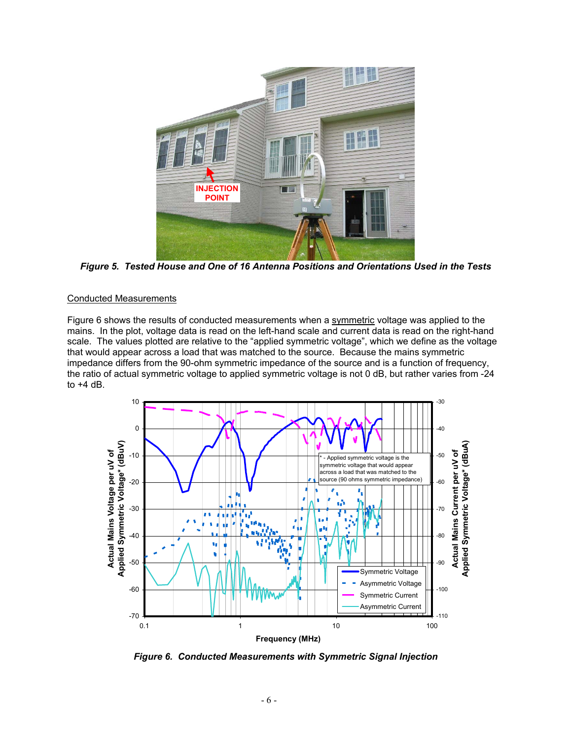

*Figure 5. Tested House and One of 16 Antenna Positions and Orientations Used in the Tests* 

## Conducted Measurements

Figure 6 shows the results of conducted measurements when a symmetric voltage was applied to the mains. In the plot, voltage data is read on the left-hand scale and current data is read on the right-hand scale. The values plotted are relative to the "applied symmetric voltage", which we define as the voltage that would appear across a load that was matched to the source. Because the mains symmetric impedance differs from the 90-ohm symmetric impedance of the source and is a function of frequency, the ratio of actual symmetric voltage to applied symmetric voltage is not 0 dB, but rather varies from -24 to  $+4$  dB.



*Figure 6. Conducted Measurements with Symmetric Signal Injection*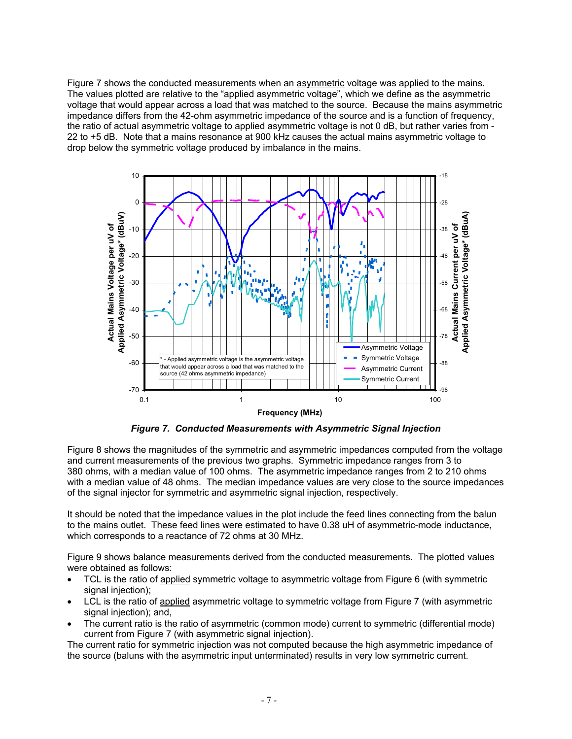Figure 7 shows the conducted measurements when an asymmetric voltage was applied to the mains. The values plotted are relative to the "applied asymmetric voltage", which we define as the asymmetric voltage that would appear across a load that was matched to the source. Because the mains asymmetric impedance differs from the 42-ohm asymmetric impedance of the source and is a function of frequency, the ratio of actual asymmetric voltage to applied asymmetric voltage is not 0 dB, but rather varies from -22 to +5 dB. Note that a mains resonance at 900 kHz causes the actual mains asymmetric voltage to drop below the symmetric voltage produced by imbalance in the mains.



*Figure 7. Conducted Measurements with Asymmetric Signal Injection* 

Figure 8 shows the magnitudes of the symmetric and asymmetric impedances computed from the voltage and current measurements of the previous two graphs. Symmetric impedance ranges from 3 to 380 ohms, with a median value of 100 ohms. The asymmetric impedance ranges from 2 to 210 ohms with a median value of 48 ohms. The median impedance values are very close to the source impedances of the signal injector for symmetric and asymmetric signal injection, respectively.

It should be noted that the impedance values in the plot include the feed lines connecting from the balun to the mains outlet. These feed lines were estimated to have 0.38 uH of asymmetric-mode inductance, which corresponds to a reactance of 72 ohms at 30 MHz.

Figure 9 shows balance measurements derived from the conducted measurements. The plotted values were obtained as follows:

- TCL is the ratio of applied symmetric voltage to asymmetric voltage from Figure 6 (with symmetric signal injection);
- LCL is the ratio of applied asymmetric voltage to symmetric voltage from Figure 7 (with asymmetric signal injection); and,
- The current ratio is the ratio of asymmetric (common mode) current to symmetric (differential mode) current from Figure 7 (with asymmetric signal injection).

The current ratio for symmetric injection was not computed because the high asymmetric impedance of the source (baluns with the asymmetric input unterminated) results in very low symmetric current.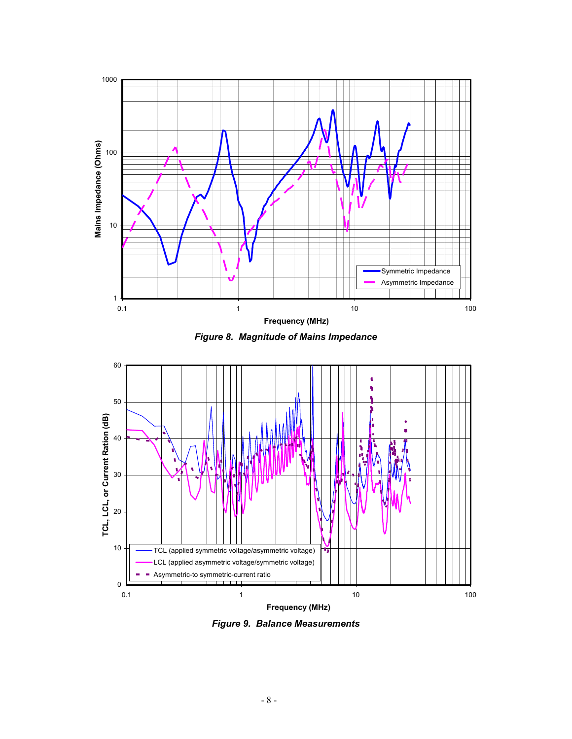

*Figure 8. Magnitude of Mains Impedance* 



*Figure 9. Balance Measurements*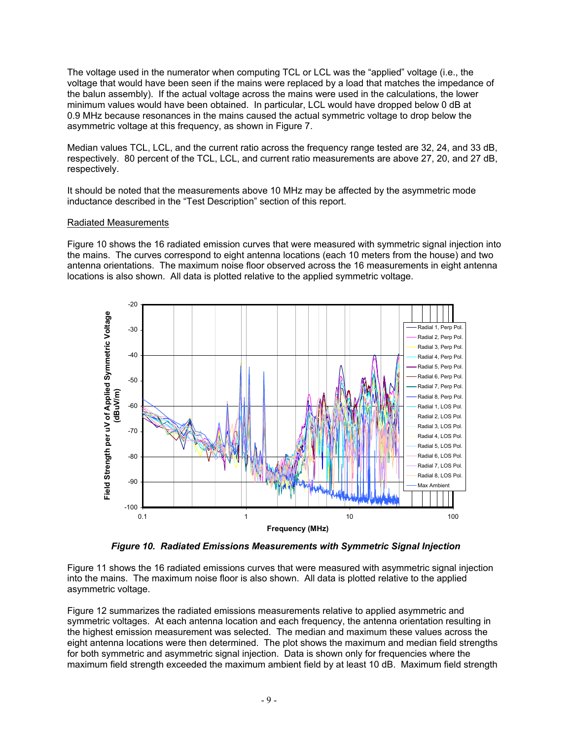The voltage used in the numerator when computing TCL or LCL was the "applied" voltage (i.e., the voltage that would have been seen if the mains were replaced by a load that matches the impedance of the balun assembly). If the actual voltage across the mains were used in the calculations, the lower minimum values would have been obtained. In particular, LCL would have dropped below 0 dB at 0.9 MHz because resonances in the mains caused the actual symmetric voltage to drop below the asymmetric voltage at this frequency, as shown in Figure 7.

Median values TCL, LCL, and the current ratio across the frequency range tested are 32, 24, and 33 dB, respectively. 80 percent of the TCL, LCL, and current ratio measurements are above 27, 20, and 27 dB, respectively.

It should be noted that the measurements above 10 MHz may be affected by the asymmetric mode inductance described in the "Test Description" section of this report.

## Radiated Measurements

Figure 10 shows the 16 radiated emission curves that were measured with symmetric signal injection into the mains. The curves correspond to eight antenna locations (each 10 meters from the house) and two antenna orientations. The maximum noise floor observed across the 16 measurements in eight antenna locations is also shown. All data is plotted relative to the applied symmetric voltage.



*Figure 10. Radiated Emissions Measurements with Symmetric Signal Injection* 

Figure 11 shows the 16 radiated emissions curves that were measured with asymmetric signal injection into the mains. The maximum noise floor is also shown. All data is plotted relative to the applied asymmetric voltage.

Figure 12 summarizes the radiated emissions measurements relative to applied asymmetric and symmetric voltages. At each antenna location and each frequency, the antenna orientation resulting in the highest emission measurement was selected. The median and maximum these values across the eight antenna locations were then determined. The plot shows the maximum and median field strengths for both symmetric and asymmetric signal injection. Data is shown only for frequencies where the maximum field strength exceeded the maximum ambient field by at least 10 dB. Maximum field strength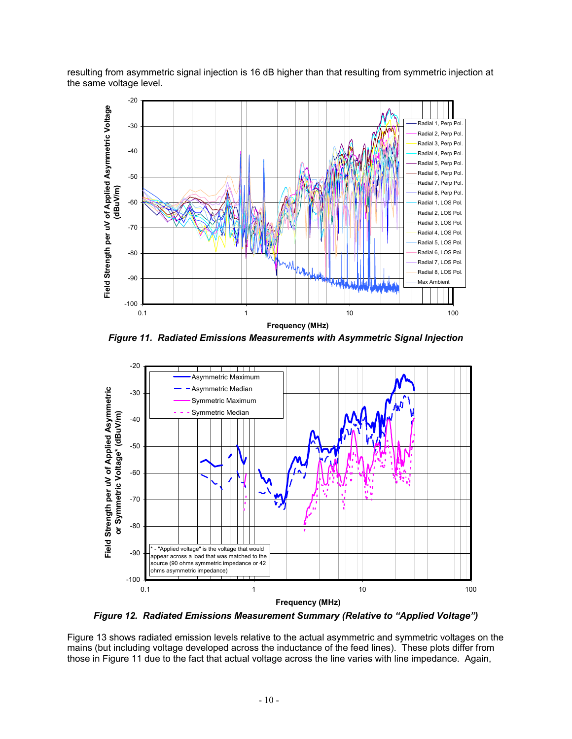resulting from asymmetric signal injection is 16 dB higher than that resulting from symmetric injection at the same voltage level.



*Figure 11. Radiated Emissions Measurements with Asymmetric Signal Injection* 



*Figure 12. Radiated Emissions Measurement Summary (Relative to "Applied Voltage")* 

Figure 13 shows radiated emission levels relative to the actual asymmetric and symmetric voltages on the mains (but including voltage developed across the inductance of the feed lines). These plots differ from those in Figure 11 due to the fact that actual voltage across the line varies with line impedance. Again,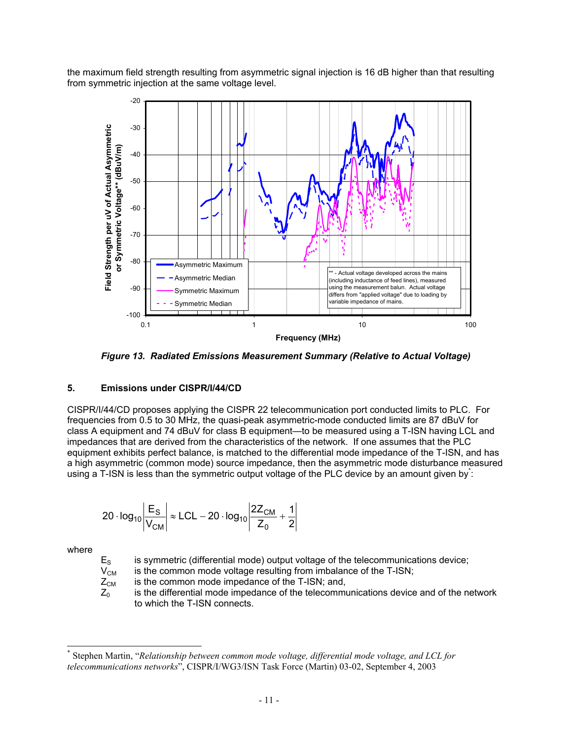the maximum field strength resulting from asymmetric signal injection is 16 dB higher than that resulting from symmetric injection at the same voltage level.



*Figure 13. Radiated Emissions Measurement Summary (Relative to Actual Voltage)* 

# **5. Emissions under CISPR/I/44/CD**

CISPR/I/44/CD proposes applying the CISPR 22 telecommunication port conducted limits to PLC. For frequencies from 0.5 to 30 MHz, the quasi-peak asymmetric-mode conducted limits are 87 dBuV for class A equipment and 74 dBuV for class B equipment—to be measured using a T-ISN having LCL and impedances that are derived from the characteristics of the network. If one assumes that the PLC equipment exhibits perfect balance, is matched to the differential mode impedance of the T-ISN, and has a high asymmetric (common mode) source impedance, then the asymmetric mode disturbance measured using a T-ISN is less than the symmetric output voltage of the PLC device by an amount given by:

$$
20 \cdot \log_{10} \left| \frac{E_S}{V_{CM}} \right| \approx LCL - 20 \cdot \log_{10} \left| \frac{2Z_{CM}}{Z_0} + \frac{1}{2} \right|
$$

where

 $\overline{\phantom{a}}$ 

 $E<sub>s</sub>$  is symmetric (differential mode) output voltage of the telecommunications device;

 $V_{CM}$  is the common mode voltage resulting from imbalance of the T-ISN;

 $Z_{CM}$  is the common mode impedance of the T-ISN; and,

 $Z_0$  is the differential mode impedance of the telecommunications device and of the network to which the T-ISN connects.

<sup>\*</sup> Stephen Martin, "*Relationship between common mode voltage, differential mode voltage, and LCL for telecommunications networks*", CISPR/I/WG3/ISN Task Force (Martin) 03-02, September 4, 2003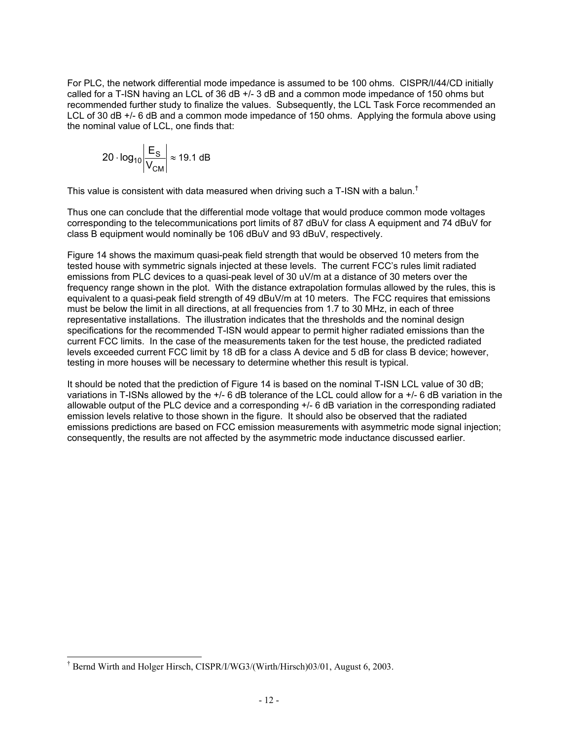For PLC, the network differential mode impedance is assumed to be 100 ohms. CISPR/I/44/CD initially called for a T-ISN having an LCL of 36 dB +/- 3 dB and a common mode impedance of 150 ohms but recommended further study to finalize the values. Subsequently, the LCL Task Force recommended an LCL of 30 dB +/- 6 dB and a common mode impedance of 150 ohms. Applying the formula above using the nominal value of LCL, one finds that:

$$
20 \cdot \log_{10} \left| \frac{\mathsf{E}_{\mathsf{S}}}{\mathsf{V}_{\mathsf{CM}}} \right| \approx 19.1 \text{ dB}
$$

This value is consistent with data measured when driving such a T-ISN with a balun.†

Thus one can conclude that the differential mode voltage that would produce common mode voltages corresponding to the telecommunications port limits of 87 dBuV for class A equipment and 74 dBuV for class B equipment would nominally be 106 dBuV and 93 dBuV, respectively.

Figure 14 shows the maximum quasi-peak field strength that would be observed 10 meters from the tested house with symmetric signals injected at these levels. The current FCC's rules limit radiated emissions from PLC devices to a quasi-peak level of 30 uV/m at a distance of 30 meters over the frequency range shown in the plot. With the distance extrapolation formulas allowed by the rules, this is equivalent to a quasi-peak field strength of 49 dBuV/m at 10 meters. The FCC requires that emissions must be below the limit in all directions, at all frequencies from 1.7 to 30 MHz, in each of three representative installations. The illustration indicates that the thresholds and the nominal design specifications for the recommended T-ISN would appear to permit higher radiated emissions than the current FCC limits. In the case of the measurements taken for the test house, the predicted radiated levels exceeded current FCC limit by 18 dB for a class A device and 5 dB for class B device; however, testing in more houses will be necessary to determine whether this result is typical.

It should be noted that the prediction of Figure 14 is based on the nominal T-ISN LCL value of 30 dB; variations in T-ISNs allowed by the +/- 6 dB tolerance of the LCL could allow for a +/- 6 dB variation in the allowable output of the PLC device and a corresponding +/- 6 dB variation in the corresponding radiated emission levels relative to those shown in the figure. It should also be observed that the radiated emissions predictions are based on FCC emission measurements with asymmetric mode signal injection; consequently, the results are not affected by the asymmetric mode inductance discussed earlier.

 $\overline{\phantom{a}}$ † Bernd Wirth and Holger Hirsch, CISPR/I/WG3/(Wirth/Hirsch)03/01, August 6, 2003.